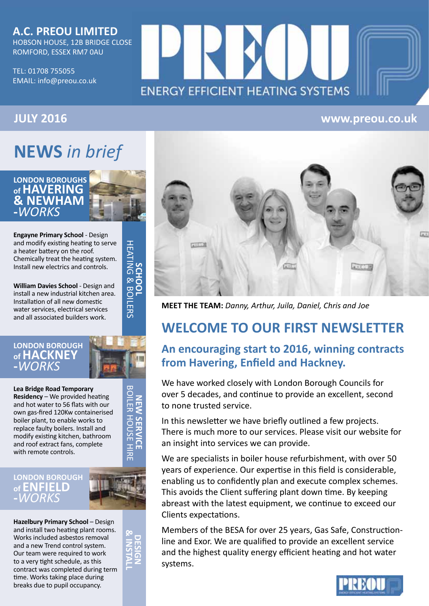### **A.C. PREOU LIMITED** HOBSON HOUSE, 12B BRIDGE CLOSE

ROMFORD, ESSEX RM7 0AU

TEL: 01708 755055 EMAIL: info@preou.co.uk

# **ENERGY EFFICIENT HEATING SYSTEMS**

# **JULY 2016 www.preou.co.uk**

# **NEWS** *in brief*

# **LONDON BOROUGHS of HAVERING & NEWHAM -***WORKS*

**Engayne Primary School** - Design and modify existing heating to serve a heater battery on the roof. Chemically treat the heating system. Install new electrics and controls.

**William Davies School** - Design and install a new industrial kitchen area. Installation of all new domestic water services, electrical services and all associated builders work.

SANDOL<br>HEATING & BOILERS HEATING & BOILERS **SCHOOL**

> **NEW SERVICE** BOILER HOUSE HIR

**IEW SERVICE** 

z

HOUSE HIRE

### **LONDON BOROUGH of HACKNEY -***WORKS*

**Lea Bridge Road Temporary Residency** – We provided heating and hot water to 56 flats with our own gas-fired 120Kw containerised boiler plant, to enable works to replace faulty boilers. Install and modify existing kitchen, bathroom and roof extract fans, complete with remote controls.

## **LONDON BOROUGH of ENFIELD -***WORKS*

**Hazelbury Primary School – Design** and install two heating plant rooms. Works included asbestos removal and a new Trend control system. Our team were required to work to a very tight schedule, as this contract was completed during term time. Works taking place during breaks due to pupil occupancy.





**MEET THE TEAM:** *Danny, Arthur, Juila, Daniel, Chris and Joe*

# **WELCOME TO OUR FIRST NEWSLETTER**

# **An encouraging start to 2016, winning contracts from Havering, Enfield and Hackney.**

We have worked closely with London Borough Councils for over 5 decades, and continue to provide an excellent, second to none trusted service.

In this newsletter we have briefly outlined a few projects. There is much more to our services. Please visit our website for an insight into services we can provide.

We are specialists in boiler house refurbishment, with over 50 years of experience. Our expertise in this field is considerable, enabling us to confidently plan and execute complex schemes. This avoids the Client suffering plant down time. By keeping abreast with the latest equipment, we continue to exceed our Clients expectations.

Members of the BESA for over 25 years, Gas Safe, Constructionline and Exor. We are qualified to provide an excellent service and the highest quality energy efficient heating and hot water systems.